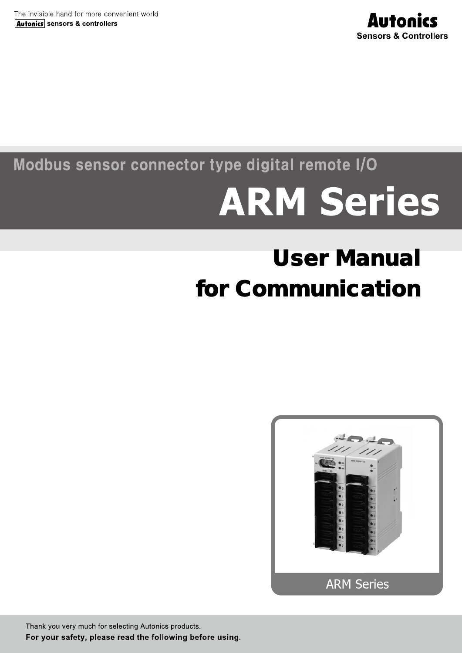

# Modbus sensor connector type digital remote I/O

# **ARM Series**

# User Manual for Communication



Thank you very much for selecting Autonics products. For your safety, please read the following before using.

**© Copyright Reserved Autonics Co., Ltd. i**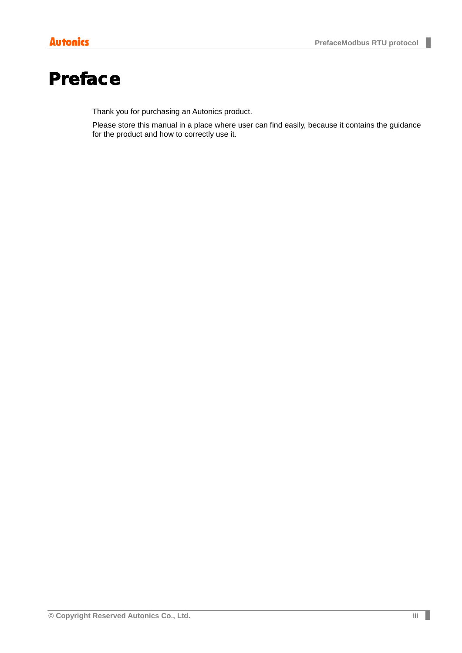# <span id="page-2-0"></span>Preface

Thank you for purchasing an Autonics product.

Please store this manual in a place where user can find easily, because it contains the guidance for the product and how to correctly use it.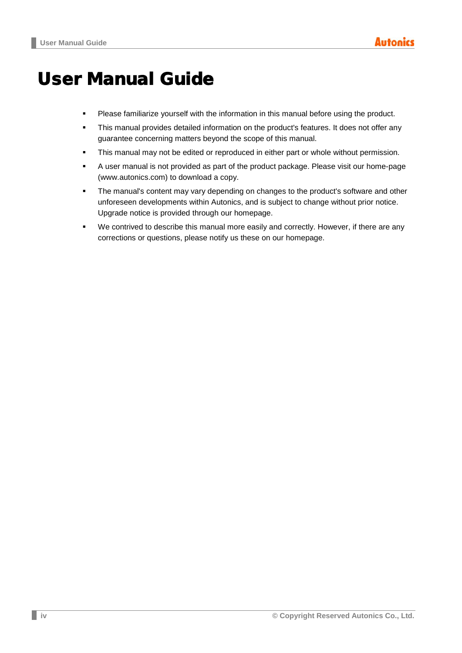# <span id="page-3-0"></span>User Manual Guide

- **Please familiarize yourself with the information in this manual before using the product.**
- This manual provides detailed information on the product's features. It does not offer any guarantee concerning matters beyond the scope of this manual.
- **This manual may not be edited or reproduced in either part or whole without permission.**
- A user manual is not provided as part of the product package. Please visit our home-page (www.autonics.com) to download a copy.
- **The manual's content may vary depending on changes to the product's software and other** unforeseen developments within Autonics, and is subject to change without prior notice. Upgrade notice is provided through our homepage.
- We contrived to describe this manual more easily and correctly. However, if there are any corrections or questions, please notify us these on our homepage.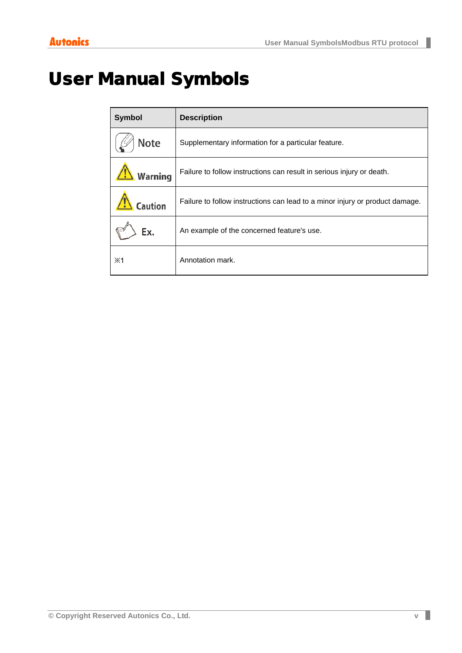F

# <span id="page-4-0"></span>User Manual Symbols

| <b>Symbol</b> | <b>Description</b>                                                           |
|---------------|------------------------------------------------------------------------------|
| <b>Note</b>   | Supplementary information for a particular feature.                          |
| Warning       | Failure to follow instructions can result in serious injury or death.        |
| aution        | Failure to follow instructions can lead to a minor injury or product damage. |
| Ex.           | An example of the concerned feature's use.                                   |
| $\mathbb{X}1$ | Annotation mark.                                                             |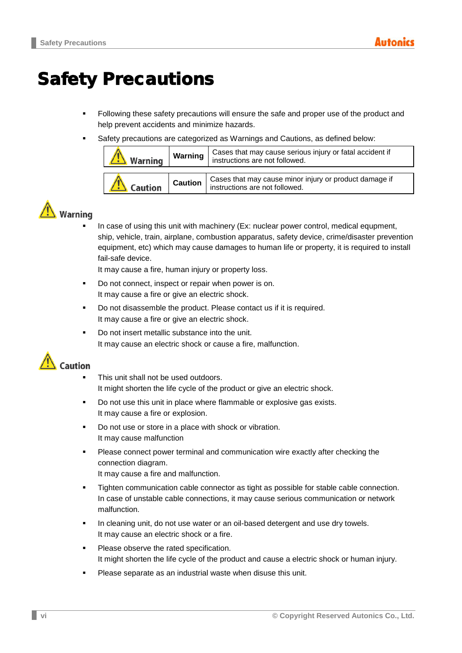# <span id="page-5-0"></span>Safety Precautions

- Following these safety precautions will ensure the safe and proper use of the product and help prevent accidents and minimize hazards.
- Safety precautions are categorized as Warnings and Cautions, as defined below:

| Warning | Warning        | Cases that may cause serious injury or fatal accident if<br>instructions are not followed. |
|---------|----------------|--------------------------------------------------------------------------------------------|
| Caution | <b>Caution</b> | Cases that may cause minor injury or product damage if<br>instructions are not followed.   |

# **Warning**

 In case of using this unit with machinery (Ex: nuclear power control, medical equpment, ship, vehicle, train, airplane, combustion apparatus, safety device, crime/disaster prevention equipment, etc) which may cause damages to human life or property, it is required to install fail-safe device.

It may cause a fire, human injury or property loss.

- Do not connect, inspect or repair when power is on. It may cause a fire or give an electric shock.
- Do not disassemble the product. Please contact us if it is required. It may cause a fire or give an electric shock.
- Do not insert metallic substance into the unit. It may cause an electric shock or cause a fire, malfunction.



- This unit shall not be used outdoors. It might shorten the life cycle of the product or give an electric shock.
- Do not use this unit in place where flammable or explosive gas exists. It may cause a fire or explosion.
- Do not use or store in a place with shock or vibration. It may cause malfunction
- **Please connect power terminal and communication wire exactly after checking the** connection diagram. It may cause a fire and malfunction.
- Tighten communication cable connector as tight as possible for stable cable connection. In case of unstable cable connections, it may cause serious communication or network malfunction.
- In cleaning unit, do not use water or an oil-based detergent and use dry towels. It may cause an electric shock or a fire.
- **Please observe the rated specification.** It might shorten the life cycle of the product and cause a electric shock or human injury.
- Please separate as an industrial waste when disuse this unit.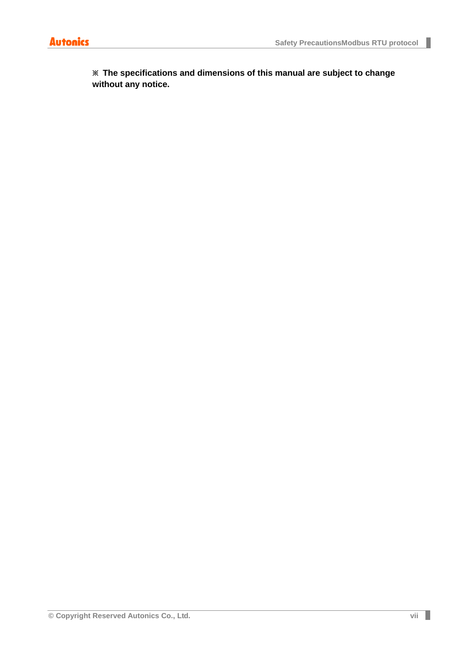Г

**※ The specifications and dimensions of this manual are subject to change without any notice.**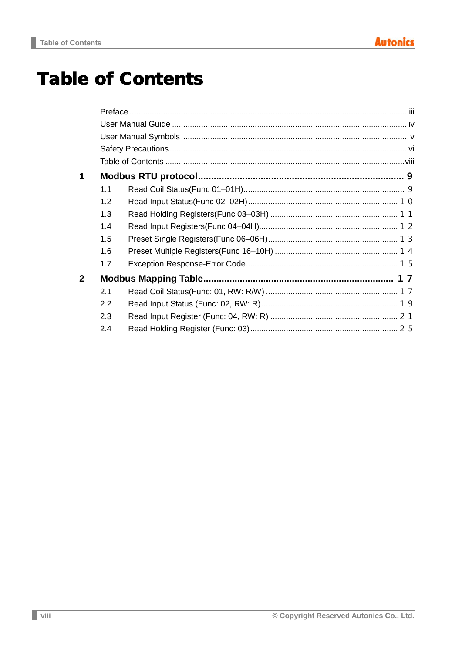# <span id="page-7-0"></span>**Table of Contents**

| 1            |     |  |
|--------------|-----|--|
|              | 1.1 |  |
|              | 1.2 |  |
|              | 1.3 |  |
|              | 1.4 |  |
|              | 1.5 |  |
|              | 1.6 |  |
|              | 1.7 |  |
| $\mathbf{2}$ |     |  |
|              | 2.1 |  |
|              | 2.2 |  |
|              | 2.3 |  |
|              | 2.4 |  |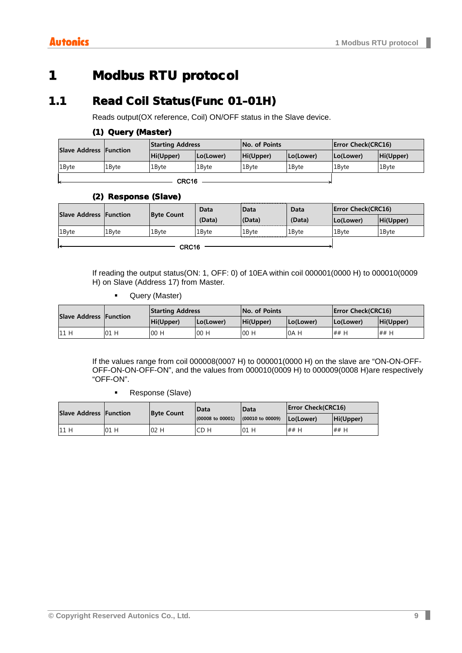# <span id="page-8-0"></span>1 Modbus RTU protocol

## <span id="page-8-1"></span>1.1 Read Coil Status(Func 01–01H)

Reads output(OX reference, Coil) ON/OFF status in the Slave device.

#### (1) Query (Master)

| <b>Slave Address Function</b> |       | <b>Starting Address</b> |           | <b>No. of Points</b> |                   | <b>Error Check(CRC16)</b> |           |
|-------------------------------|-------|-------------------------|-----------|----------------------|-------------------|---------------------------|-----------|
|                               |       | Hi(Upper)               | Lo(Lower) | Hi(Upper)            | Lo(Lower)         | Lo(Lower)                 | Hi(Upper) |
| 1Byte                         | 1Byte | 1Bvte                   | 1Byte     | 1Byte                | 1 <sub>Bvte</sub> | 1Bvte                     | 1Byte     |
|                               |       |                         |           |                      |                   |                           |           |

(2) Response (Slave)

| <b>Slave Address Function</b> |       | <b>Byte Count</b> | Data   | <b>IData</b>      |        | <b>Error Check(CRC16)</b> |           |
|-------------------------------|-------|-------------------|--------|-------------------|--------|---------------------------|-----------|
|                               |       |                   | (Data) | (Data)            | (Data) | (Lo(Lower                 | Hi(Upper) |
| 1 <sub>Byte</sub>             | 1Byte | 1 <sub>Bvte</sub> | 1Bvte  | 1 <sub>Bvte</sub> | 1Byte  | 1Bvte                     | 1Byte     |
|                               |       |                   |        |                   |        |                           |           |

 $-$  CRC16  $-$ 

If reading the output status(ON: 1, OFF: 0) of 10EA within coil 000001(0000 H) to 000010(0009 H) on Slave (Address 17) from Master.

**Query (Master)** 

| <b>Slave Address Function</b> |    | <b>Starting Address</b> |           | <b>No. of Points</b> |           | <b>Error Check(CRC16)</b> |           |
|-------------------------------|----|-------------------------|-----------|----------------------|-----------|---------------------------|-----------|
|                               |    | Hi(Upper)               | Lo(Lower) | Hi(Upper)            | Lo(Lower) | (Lo(Lower                 | Hi(Upper) |
| 11 H                          | 01 | 00 H                    | 00 H      | 00 H                 | 0A H      | ## H                      | ## H      |

If the values range from coil 000008(0007 H) to 000001(0000 H) on the slave are "ON-ON-OFF-OFF-ON-ON-OFF-ON", and the values from 000010(0009 H) to 000009(0008 H)are respectively "OFF-ON".

**Response (Slave)** 

| <b>Slave Address Function</b> |      | <b>IData</b><br><b>Byte Count</b> |                             | <b>IData</b>                | <b>IError Check(CRC16)</b> |           |
|-------------------------------|------|-----------------------------------|-----------------------------|-----------------------------|----------------------------|-----------|
|                               |      |                                   | $(00008 \text{ to } 00001)$ | $(00010 \text{ to } 00009)$ | (Lo(Lower                  | Hi(Upper) |
| 11 H                          | 01 H | 02 H                              | CD H                        | 01 H                        | ## H                       | ## H      |

I.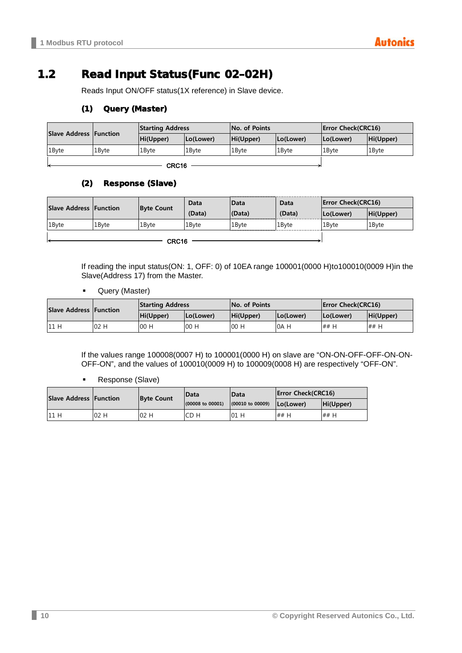## <span id="page-9-0"></span>1.2 Read Input Status(Func 02–02H)

Reads Input ON/OFF status(1X reference) in Slave device.

#### (1) Query (Master)

| <b>Slave Address Function</b> |       | <b>Starting Address</b> |           | <b>No. of Points</b> |           | <b>Error Check(CRC16)</b> |           |
|-------------------------------|-------|-------------------------|-----------|----------------------|-----------|---------------------------|-----------|
|                               |       | Hi(Upper)               | Lo(Lower) | Hi(Upper)            | (Lo(Lower | Lo(Lower)                 | Hi(Upper) |
| 1Byte                         | 1Bvte | 1Bvte                   | 1Bvte     | 1 <sub>Bvte</sub>    | 1Bvte     | 1Byte                     | 1Byte     |
|                               |       |                         |           |                      |           |                           |           |

 $-$  CRC16  $-$ 

#### (2) Response (Slave)

| Slave Address Function |       | <b>Byte Count</b> | Data   | Data   | Data   | <b>Error Check(CRC16)</b> |           |
|------------------------|-------|-------------------|--------|--------|--------|---------------------------|-----------|
|                        |       |                   | (Data) | (Data) | (Data) | Lo(Lower)                 | Hi(Upper) |
| 1Byte                  | 1Bvte | 1Bvte             | 1Bvte  | 1Bvte  | 1Byte  | 1 <sub>Bvte</sub>         | 1Byte     |
| CRC16                  |       |                   |        |        |        |                           |           |

If reading the input status(ON: 1, OFF: 0) of 10EA range 100001(0000 H)to100010(0009 H)in the Slave(Address 17) from the Master.

**-** Query (Master)

| <b>Slave Address Function</b> |     | <b>Starting Address</b> |           | <b>No. of Points</b> |           | <b>Error Check(CRC16)</b> |           |
|-------------------------------|-----|-------------------------|-----------|----------------------|-----------|---------------------------|-----------|
|                               |     | Hi(Upper)               | Lo(Lower) | Hi(Upper)            | Lo(Lower) | (Lo(Lower                 | Hi(Upper) |
| 11 H                          | 02H | 00 H                    | 00 H      | 00H                  | 0A H      | ## H                      | ## H      |

If the values range 100008(0007 H) to 100001(0000 H) on slave are "ON-ON-OFF-OFF-ON-ON-OFF-ON", and the values of 100010(0009 H) to 100009(0008 H) are respectively "OFF-ON".

**Response (Slave)** 

| <b>Slave Address Function</b> |     | <b>Byte Count</b> | <b>IData</b>                | Data                        | <b>Error Check(CRC16)</b> |           |
|-------------------------------|-----|-------------------|-----------------------------|-----------------------------|---------------------------|-----------|
|                               |     |                   | $(00008 \text{ to } 00001)$ | $(00010 \text{ to } 00009)$ | Lo(Lower)                 | Hi(Upper) |
| 11 H                          | 02H | 02H               | CD H                        | 01 H                        | ## H                      | ## H      |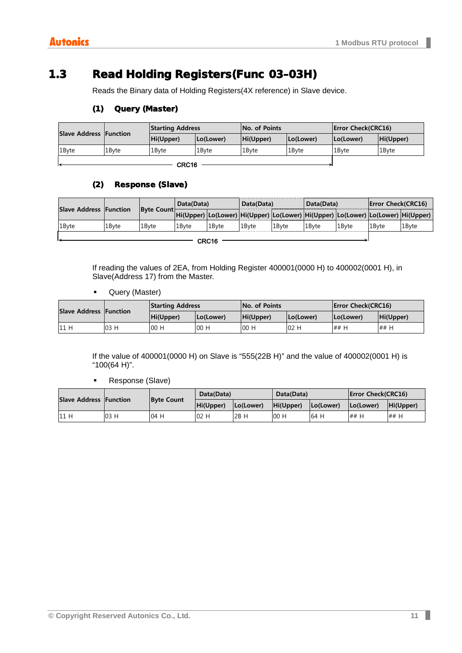L

## <span id="page-10-0"></span>1.3 Read Holding Registers(Func 03–03H)

Reads the Binary data of Holding Registers(4X reference) in Slave device.

#### (1) Query (Master)

| <b>Slave Address Function</b> |       | <b>Starting Address</b> |           | <b>No. of Points</b> |                   | <b>Error Check(CRC16)</b> |                   |
|-------------------------------|-------|-------------------------|-----------|----------------------|-------------------|---------------------------|-------------------|
|                               |       | Hi(Upper)               | Lo(Lower) | Hi(Upper)            | Lo(Lower)         | Lo(Lower)                 | Hi(Upper)         |
| 1 <sub>Bvte</sub>             | 1Byte | 1 <sub>Bvte</sub>       | 1Byte     | 1 <sub>Bvte</sub>    | 1 <sub>Bvte</sub> | 1Bvte                     | 1 <sub>Bvte</sub> |
| $\sim$                        |       |                         |           |                      |                   |                           |                   |

 $-$  CRC16  $-$ 

#### (2) Response (Slave)

| <b>Slave Address Function</b> |       | Byte Count | Data(Data) |       | Data(Data) |                   | Data(Data)        |        | <b>Error Check(CRC16)</b>                                                              |                   |
|-------------------------------|-------|------------|------------|-------|------------|-------------------|-------------------|--------|----------------------------------------------------------------------------------------|-------------------|
|                               |       |            |            |       |            |                   |                   |        | Hi(Upper)  Lo(Lower)  Hi(Upper)  Lo(Lower)  Hi(Upper)  Lo(Lower)  Lo(Lower)  Hi(Upper) |                   |
| 1Byte                         | 1Byte | 1Bvte      | 1Byte      | 1Bvte | 1Byte      | 1 <sub>Bvte</sub> | <sup>1</sup> Bvte | l1Bvte | 1Byte                                                                                  | 1 <sub>Bvte</sub> |
| ----                          |       |            |            |       |            |                   |                   |        |                                                                                        |                   |

 $-$  CRC16  $-$ 

If reading the values of 2EA, from Holding Register 400001(0000 H) to 400002(0001 H), in Slave(Address 17) from the Master.

**Query (Master)** 

| Slave Address Function |     | <b>Starting Address</b> |           | <b>No. of Points</b> |           | <b>Error Check(CRC16)</b> |           |
|------------------------|-----|-------------------------|-----------|----------------------|-----------|---------------------------|-----------|
|                        |     | Hi(Upper)               | (Lo(Lower | Hi(Upper)            | Lo(Lower) | (Lo(Lower                 | Hi(Upper) |
| 11 H                   | 03H | 00 H                    | 00H       | 00 F                 | 02 H      | ## H                      | ## H      |

If the value of 400001(0000 H) on Slave is "555(22B H)" and the value of 400002(0001 H) is "100(64 H)".

**Response (Slave)** 

| <b>Slave Address Function</b> |      | <b>Byte Count</b> | Data(Data) |           | Data(Data) |           | <b>Error Check(CRC16)</b> |           |
|-------------------------------|------|-------------------|------------|-----------|------------|-----------|---------------------------|-----------|
|                               |      |                   | Hi(Upper)  | Lo(Lower) | Hi(Upper)  | Lo(Lower) | Lo(Lower)                 | Hi(Upper) |
| 11 H                          | 03 H | 04 H              | 02 H       | 2B<br>H   | 00 H       | 64 H      | ## H                      | ## H      |

П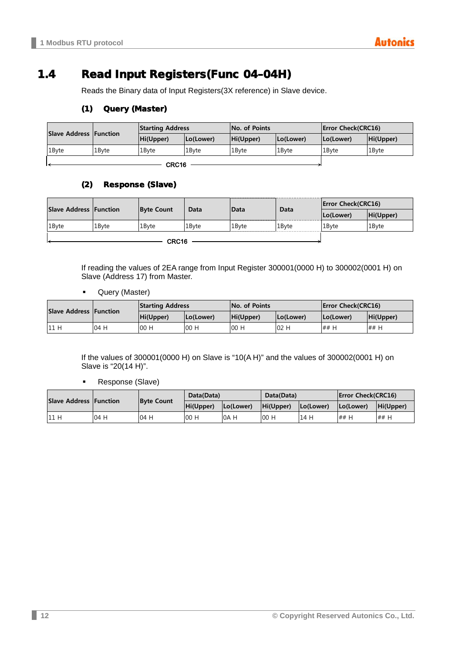## <span id="page-11-0"></span>1.4 Read Input Registers(Func 04–04H)

Reads the Binary data of Input Registers(3X reference) in Slave device.

#### (1) Query (Master)

| <b>Slave Address Function</b> |       | <b>Starting Address</b> |           | <b>No. of Points</b> |                   | <b>Error Check(CRC16)</b> |                   |
|-------------------------------|-------|-------------------------|-----------|----------------------|-------------------|---------------------------|-------------------|
|                               |       | Hi(Upper)               | Lo(Lower) | Hi(Upper)            | (Lo(Lower         | Lo(Lower)                 | Hi(Upper)         |
| 1Byte                         | 1Bvte | 1Byte                   | 1Byte     | 1Byte                | 1 <sub>Bvte</sub> | 1Byte                     | 1 <sub>Byte</sub> |
|                               |       |                         |           |                      |                   |                           |                   |

 $-$  CRC16  $-$ 

#### (2) Response (Slave)

| Slave Address Function |       | <b>Byte Count</b> |       |       |       | <b>Error Check(CRC16)</b> |           |
|------------------------|-------|-------------------|-------|-------|-------|---------------------------|-----------|
|                        |       |                   | Data  | Data  | Data  | Lo(Lower)<br>1Byte        | Hi(Upper) |
| 1Byte                  | 1Byte | 1Byte             | 1Bvte | 1Byte | 1Byte |                           | 1Byte     |
|                        |       |                   |       |       |       |                           |           |

If reading the values of 2EA range from Input Register 300001(0000 H) to 300002(0001 H) on Slave (Address 17) from Master.

**Query (Master)** 

| Slave Address Function |     | <b>Starting Address</b> |           | <b>No. of Points</b> |           | <b>Error Check(CRC16)</b> |           |
|------------------------|-----|-------------------------|-----------|----------------------|-----------|---------------------------|-----------|
|                        |     | Hi(Upper)               | Lo(Lower) | Hi(Upper)            | Lo(Lower) | Lo(Lower)                 | Hi(Upper) |
| 11 H                   | 04H | 00 H                    | 00 H      | 00H                  | 02H       | ## F                      | ## H      |

If the values of 300001(0000 H) on Slave is "10(A H)" and the values of 300002(0001 H) on Slave is "20(14 H)".

**Response (Slave)** 

| <b>Slave Address Function</b> |      | <b>Byte Count</b> | Data(Data) |           | Data(Data) |           | <b>Error Check(CRC16)</b> |           |
|-------------------------------|------|-------------------|------------|-----------|------------|-----------|---------------------------|-----------|
|                               |      |                   | Hi(Upper)  | Lo(Lower) | Hi(Upper)  | Lo(Lower) | Lo(Lower)                 | Hi(Upper) |
| 11H                           | 04 H | 04 H              | 00 H       | 0A H      | 00 H       | 14 H      | ## H                      | ## H      |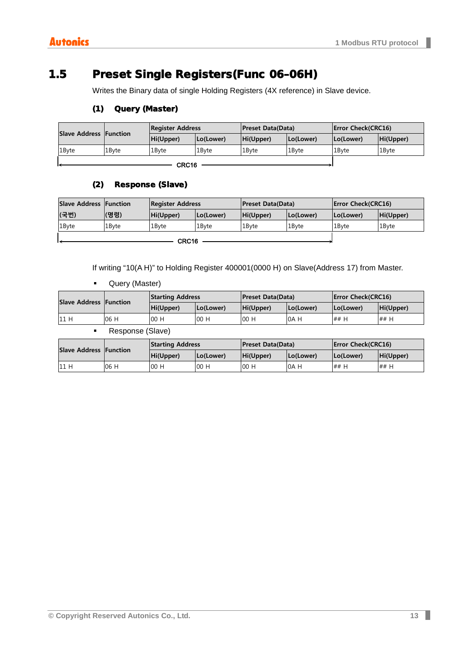## <span id="page-12-0"></span>1.5 Preset Single Registers(Func 06–06H)

Writes the Binary data of single Holding Registers (4X reference) in Slave device.

#### (1) Query (Master)

|       | Slave Address Function | <b>Register Address</b> |           | <b>Preset Data(Data)</b> |           | <b>Error Check(CRC16)</b> |           |
|-------|------------------------|-------------------------|-----------|--------------------------|-----------|---------------------------|-----------|
|       |                        | Hi(Upper)               | Lo(Lower) | Hi(Upper)                | Lo(Lower) | Lo(Lower)                 | Hi(Upper) |
| 1Byte | 1Byte                  | 1Bvte                   | 1Bvte     | 1 <sub>Bvte</sub>        | 1Byte     | 1Byte                     | 1Byte     |
|       |                        |                         |           |                          |           |                           |           |

 $-$  CRC16  $-$ 

#### (2) Response (Slave)

| <b>Slave Address Function</b> |             | <b>Register Address</b> |           | <b>Preset Data(Data)</b> |                   | <b>Error Check(CRC16)</b> |                   |
|-------------------------------|-------------|-------------------------|-----------|--------------------------|-------------------|---------------------------|-------------------|
| (국번)                          | <b>(명령)</b> | Hi(Upper)               | (Lo(Lower | Hi(Upper)                | Lo(Lower)         | (Lo(Lower                 | Hi(Upper)         |
| 1Byte                         | 1Byte       | 1Bvte                   | 1Byte     | 1Byte                    | 1 <sub>Bvte</sub> | 1Bvte                     | 1 <sub>Byte</sub> |
|                               |             |                         |           |                          |                   |                           |                   |

If writing "10(A H)" to Holding Register 400001(0000 H) on Slave(Address 17) from Master.

**-** Query (Master)

| <b>Slave Address Function</b> |                          | <b>Starting Address</b>  |           | <b>Preset Data(Data)</b> |           | <b>Error Check(CRC16)</b> |           |
|-------------------------------|--------------------------|--------------------------|-----------|--------------------------|-----------|---------------------------|-----------|
|                               |                          | Hi(Upper)                | Lo(Lower) | Hi(Upper)                | Lo(Lower) | Lo(Lower)                 | Hi(Upper) |
| 11 H                          | 06 H                     | 00 H                     | 00H       | 00H                      | 0A H      | ## H                      | ## H      |
|                               | $\overline{\phantom{0}}$ | $\overline{\phantom{a}}$ |           |                          |           |                           |           |

Response (Slave)

| Slave Address Function |      | <b>Starting Address</b> |           | <b>Preset Data(Data)</b> |           | <b>Error Check(CRC16)</b> |           |
|------------------------|------|-------------------------|-----------|--------------------------|-----------|---------------------------|-----------|
|                        |      | Hi(Upper)               | (Lo(Lower | Hi(Upper)                | Lo(Lower) | (Lo(Lower                 | Hi(Upper) |
| 11 H                   | 06 H | 00 H                    | 00 H      | 00 F                     | 0A H      | ## H                      | ## H      |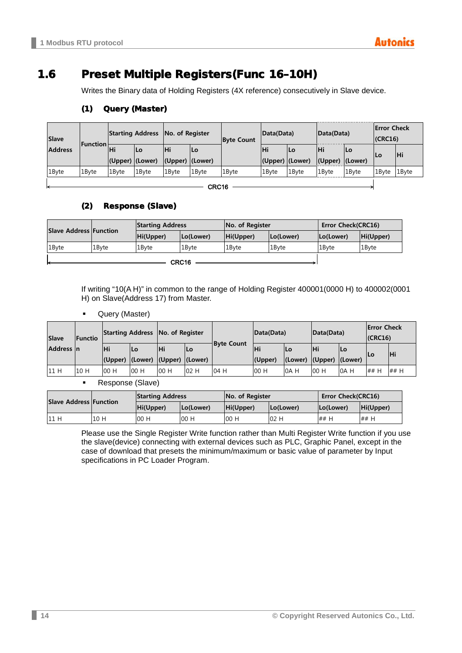## <span id="page-13-0"></span>1.6 Preset Multiple Registers(Func 16–10H)

Writes the Binary data of Holding Registers (4X reference) consecutively in Slave device.

| <b>Slave</b><br><b>Function</b><br><b>Address</b> |       | Starting Address No. of Register |       |                         |                   | <b>Byte Count</b> | Data(Data)      |           | Data(Data)              |                   | <b>Error Check</b><br>$ $ (CRC16) |       |
|---------------------------------------------------|-------|----------------------------------|-------|-------------------------|-------------------|-------------------|-----------------|-----------|-------------------------|-------------------|-----------------------------------|-------|
|                                                   | lНi   | Lo                               | lНi   | lLo                     |                   | ΙHί               | lLo             | <b>Hi</b> | lLo.                    |                   | lНi                               |       |
|                                                   |       | (Upper) (Lower)                  |       | $ $ (Upper) $ $ (Lower) |                   |                   | (Upper) (Lower) |           | $ $ (Upper) $ $ (Lower) |                   | ΙLΟ                               |       |
| 1Byte                                             | 1Byte | 1 <sub>Bvte</sub>                | 1Byte | 1 <sub>Byte</sub>       | 1 <sub>Bvte</sub> | 1 <sub>Bvte</sub> | 1Byte           | 1Bvte     | 1Byte                   | 1 <sub>Bvte</sub> | 1Byte                             | 1Byte |
|                                                   |       |                                  |       |                         |                   |                   |                 |           |                         |                   |                                   |       |

#### (1) Query (Master)

 $-$  CRC16 -

#### (2) Response (Slave)

| <b>Slave Address Function</b> |       | <b>Starting Address</b> |           | No. of Register |                   | Error Check(CRC16) |           |
|-------------------------------|-------|-------------------------|-----------|-----------------|-------------------|--------------------|-----------|
|                               |       | Hi(Upper)               | Lo(Lower) | Hi(Upper)       | Lo(Lower)         | Lo(Lower)          | Hi(Upper) |
| 1 <sub>Byte</sub>             | 1Bvte | 1Bvte                   | 1Bvte     | 1Bvte           | 1 <sub>Bvte</sub> | 1Byte              | 1Byte     |
|                               |       |                         |           |                 |                   |                    |           |

If writing "10(A H)" in common to the range of Holding Register 400001(0000 H) to 400002(0001 H) on Slave(Address 17) from Master.

Query (Master)

| <b>Slave</b><br>Functio |      |     | Starting Address No. of Register |      |     |                   | Data(Data)<br>Data(Data) |         |         | <b>Error Check</b><br>$ $ (CRC16) |      |            |
|-------------------------|------|-----|----------------------------------|------|-----|-------------------|--------------------------|---------|---------|-----------------------------------|------|------------|
| Address In              |      | Нi  | lLo                              | lНi  | lLo | <b>Byte Count</b> | Нi                       | lLo     | IНi     | Lo                                |      | <b>IHi</b> |
|                         |      |     | (Upper) (Lower) (Upper) (Lower)  |      |     |                   | (Upper)                  | (Lower) | (Upper) | (Lower)                           |      |            |
| 11 H                    | 10 H | 00H | 00H                              | 00 H | 02H | 04 H              | 00 H                     | 0A H    | 00 H    | 0A H                              | ## H | ## H       |

Response (Slave)

| <b>Slave Address Function</b> |      | <b>Starting Address</b> |           | No. of Register |           | <b>Error Check(CRC16)</b> |           |  |
|-------------------------------|------|-------------------------|-----------|-----------------|-----------|---------------------------|-----------|--|
|                               |      | Hi(Upper)               | Lo(Lower) | Hi(Upper)       | (Lo(Lower | Lo(Lower)                 | Hi(Upper) |  |
| 11 H                          | 10 H | 00 H                    | 00H       | 00 H            | 02H       | ## H                      | ## H      |  |

Please use the Single Register Write function rather than Multi Register Write function if you use the slave(device) connecting with external devices such as PLC, Graphic Panel, except in the case of download that presets the minimum/maximum or basic value of parameter by Input specifications in PC Loader Program.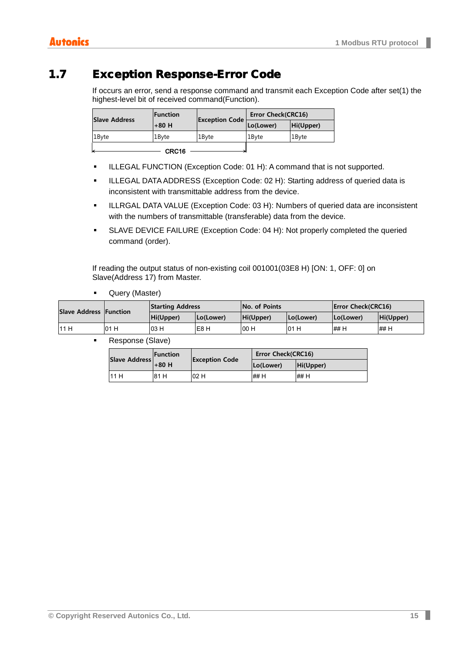## <span id="page-14-0"></span>1.7 Exception Response-Error Code

If occurs an error, send a response command and transmit each Exception Code after set(1) the highest-level bit of received command(Function).

| <b>Slave Address</b> | <b>IFunction</b> |                       | <b>Error Check(CRC16)</b> |           |
|----------------------|------------------|-----------------------|---------------------------|-----------|
|                      | $+80$ H          | <b>Exception Code</b> | Lo(Lower)                 | Hi(Upper) |
| 1 <sub>Byte</sub>    | 1Bvte            | 1Byte                 | 1 <sub>Bvte</sub>         | 1Byte     |
|                      | CRC16            |                       |                           |           |

- **ILLEGAL FUNCTION (Exception Code: 01 H): A command that is not supported.**
- ILLEGAL DATA ADDRESS (Exception Code: 02 H): Starting address of queried data is inconsistent with transmittable address from the device.
- ILLRGAL DATA VALUE (Exception Code: 03 H): Numbers of queried data are inconsistent with the numbers of transmittable (transferable) data from the device.
- SLAVE DEVICE FAILURE (Exception Code: 04 H): Not properly completed the queried command (order).

If reading the output status of non-existing coil 001001(03E8 H) [ON: 1, OFF: 0] on Slave(Address 17) from Master.

**-** Query (Master)

| <b>Slave Address Function</b> |      | <b>Starting Address</b> |           | <b>No. of Points</b> |           | <b>Error Check(CRC16)</b> |           |  |
|-------------------------------|------|-------------------------|-----------|----------------------|-----------|---------------------------|-----------|--|
|                               |      | Hi(Upper)               | (Lo(Lower | Hi(Upper)            | Lo(Lower) | (Lo(Lower                 | Hi(Upper) |  |
| 111 H                         | 01 H | 03 H                    | IE8 H     | 00 H                 | 01 H      | ## H                      | 1## H     |  |

■ Response (Slave)

| <b>Slave Address</b> | <b>Function</b> |                       | Error Check(CRC16) |           |
|----------------------|-----------------|-----------------------|--------------------|-----------|
|                      | $+80$ H         | <b>Exception Code</b> | (Lo(Lower          | Hi(Upper) |
| 11 H                 | 81 H            | 02H                   | ## H               | ## H      |

п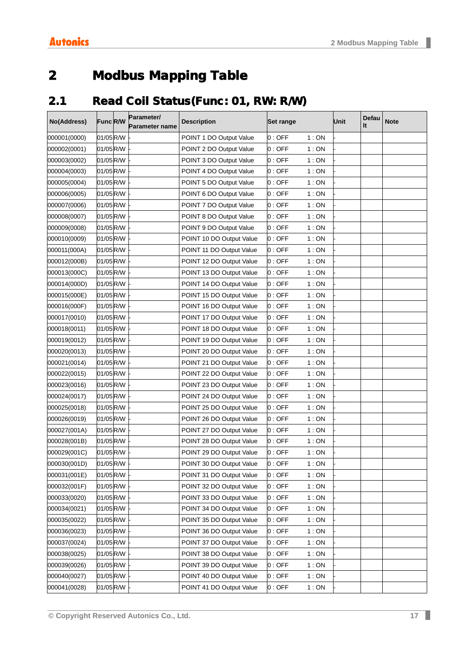# <span id="page-16-0"></span>2 Modbus Mapping Table

# <span id="page-16-1"></span>2.1 Read Coil Status(Func: 01, RW: R/W)

| No(Address)  | Func R/W  | Parameter/<br><b>Parameter name</b> | <b>Description</b>       | <b>Set range</b> |        | Unit | Defau<br>It | <b>Note</b> |
|--------------|-----------|-------------------------------------|--------------------------|------------------|--------|------|-------------|-------------|
| 000001(0000) | 01/05 R/W |                                     | POINT 1 DO Output Value  | 0:OFF            | 1:ON   |      |             |             |
| 000002(0001) | 01/05 R/W |                                     | POINT 2 DO Output Value  | 0:OFF            | 1:ON   |      |             |             |
| 000003(0002) | 01/05 R/W |                                     | POINT 3 DO Output Value  | 0:OFF            | 1:ON   |      |             |             |
| 000004(0003) | 01/05 R/W |                                     | POINT 4 DO Output Value  | 0:OFF            | 1:ON   |      |             |             |
| 000005(0004) | 01/05 R/W |                                     | POINT 5 DO Output Value  | 0:OFF            | 1:ON   |      |             |             |
| 000006(0005) | 01/05 R/W |                                     | POINT 6 DO Output Value  | 0:OFF            | 1:ON   |      |             |             |
| 000007(0006) | 01/05 R/W |                                     | POINT 7 DO Output Value  | 0:OFF            | 1:ON   |      |             |             |
| 000008(0007) | 01/05 R/W |                                     | POINT 8 DO Output Value  | 0:OFF            | 1:ON   |      |             |             |
| 000009(0008) | 01/05 R/W |                                     | POINT 9 DO Output Value  | 0:OFF            | 1:ON   |      |             |             |
| 000010(0009) | 01/05 R/W |                                     | POINT 10 DO Output Value | 0:OFF            | 1:ON   |      |             |             |
| 000011(000A) | 01/05 R/W |                                     | POINT 11 DO Output Value | 0:OFF            | 1:ON   |      |             |             |
| 000012(000B) | 01/05 R/W |                                     | POINT 12 DO Output Value | 0:OFF            | 1:ON   |      |             |             |
| 000013(000C) | 01/05 R/W |                                     | POINT 13 DO Output Value | 0:OFF            | 1:ON   |      |             |             |
| 000014(000D) | 01/05 R/W |                                     | POINT 14 DO Output Value | 0:OFF            | 1:ON   |      |             |             |
| 000015(000E) | 01/05 R/W |                                     | POINT 15 DO Output Value | 0:OFF            | 1:ON   |      |             |             |
| 000016(000F) | 01/05 R/W |                                     | POINT 16 DO Output Value | 0:OFF            | 1:ON   |      |             |             |
| 000017(0010) | 01/05 R/W |                                     | POINT 17 DO Output Value | 0:OFF            | 1:ON   |      |             |             |
| 000018(0011) | 01/05 R/W |                                     | POINT 18 DO Output Value | 0:OFF            | 1:ON   |      |             |             |
| 000019(0012) | 01/05 R/W |                                     | POINT 19 DO Output Value | 0:OFF            | 1:ON   |      |             |             |
| 000020(0013) | 01/05 R/W |                                     | POINT 20 DO Output Value | 0:OFF            | 1:ON   |      |             |             |
| 000021(0014) | 01/05 R/W |                                     | POINT 21 DO Output Value | 0:OFF            | 1:ON   |      |             |             |
| 000022(0015) | 01/05 R/W |                                     | POINT 22 DO Output Value | 0:OFF            | 1:ON   |      |             |             |
| 000023(0016) | 01/05 R/W |                                     | POINT 23 DO Output Value | 0:OFF            | 1:ON   |      |             |             |
| 000024(0017) | 01/05 R/W |                                     | POINT 24 DO Output Value | 0:OFF            | 1:ON   |      |             |             |
| 000025(0018) | 01/05 R/W |                                     | POINT 25 DO Output Value | 0:OFF            | 1:ON   |      |             |             |
| 000026(0019) | 01/05 R/W |                                     | POINT 26 DO Output Value | 0:OFF            | 1:ON   |      |             |             |
| 000027(001A) | 01/05R/W  |                                     | POINT 27 DO Output Value | 0:OFF            | 1:ON   |      |             |             |
| 000028(001B) | 01/05 R/W |                                     | POINT 28 DO Output Value | 0:OFF            | 1:ON   |      |             |             |
| 000029(001C) | 01/05 R/W |                                     | POINT 29 DO Output Value | 0:OFF            | 1:ON   |      |             |             |
| 000030(001D) | 01/05 R/W |                                     | POINT 30 DO Output Value | 0 : OFF          | 1 : ON |      |             |             |
| 000031(001E) | 01/05 R/W |                                     | POINT 31 DO Output Value | 0:OFF            | 1:ON   |      |             |             |
| 000032(001F) | 01/05 R/W |                                     | POINT 32 DO Output Value | 0:OFF            | 1:ON   |      |             |             |
| 000033(0020) | 01/05 R/W |                                     | POINT 33 DO Output Value | 0:OFF            | 1:ON   |      |             |             |
| 000034(0021) | 01/05 R/W |                                     | POINT 34 DO Output Value | 0:OFF            | 1:ON   |      |             |             |
| 000035(0022) | 01/05 R/W |                                     | POINT 35 DO Output Value | 0:OFF            | 1:ON   |      |             |             |
| 000036(0023) | 01/05 R/W |                                     | POINT 36 DO Output Value | 0:OFF            | 1:ON   |      |             |             |
| 000037(0024) | 01/05 R/W |                                     | POINT 37 DO Output Value | 0:OFF            | 1:ON   |      |             |             |
| 000038(0025) | 01/05 R/W |                                     | POINT 38 DO Output Value | 0:OFF            | 1:ON   |      |             |             |
| 000039(0026) | 01/05 R/W |                                     | POINT 39 DO Output Value | 0:OFF            | 1:ON   |      |             |             |
| 000040(0027) | 01/05R/W  |                                     | POINT 40 DO Output Value | 0:OFF            | 1:ON   |      |             |             |
| 000041(0028) | 01/05 R/W |                                     | POINT 41 DO Output Value | 0:OFF            | 1:ON   |      |             |             |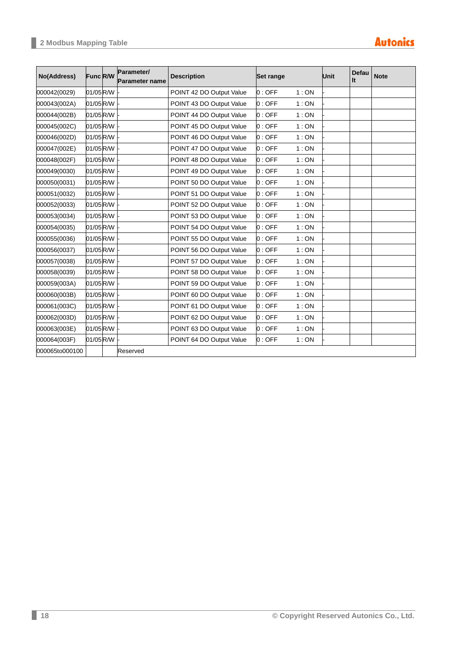| No(Address)    | Func R/W  | Parameter/<br>Parameter name | <b>Description</b>       | <b>Set range</b> |      | Unit | Defau<br>It | <b>Note</b> |
|----------------|-----------|------------------------------|--------------------------|------------------|------|------|-------------|-------------|
| 000042(0029)   | 01/05R/W  |                              | POINT 42 DO Output Value | 0:OFF            | 1:ON |      |             |             |
| 000043(002A)   | 01/05R/W  |                              | POINT 43 DO Output Value | 0:OFF            | 1:ON |      |             |             |
| 000044(002B)   | 01/05R/W  |                              | POINT 44 DO Output Value | 0:OFF            | 1:ON |      |             |             |
| 000045(002C)   | 01/05R/W  |                              | POINT 45 DO Output Value | 0:OFF            | 1:ON |      |             |             |
| 000046(002D)   | 01/05R/W  |                              | POINT 46 DO Output Value | 0:OFF            | 1:ON |      |             |             |
| 000047(002E)   | 01/05 R/W |                              | POINT 47 DO Output Value | 0:OFF            | 1:ON |      |             |             |
| 000048(002F)   | 01/05R/W  |                              | POINT 48 DO Output Value | 0:OFF            | 1:ON |      |             |             |
| 000049(0030)   | 01/05R/W  |                              | POINT 49 DO Output Value | 0:OFF            | 1:ON |      |             |             |
| 000050(0031)   | 01/05R/W  |                              | POINT 50 DO Output Value | 0:OFF            | 1:ON |      |             |             |
| 000051(0032)   | 01/05R/W  |                              | POINT 51 DO Output Value | 0:OFF            | 1:ON |      |             |             |
| 000052(0033)   | 01/05R/W  |                              | POINT 52 DO Output Value | 0:OFF            | 1:ON |      |             |             |
| 000053(0034)   | 01/05R/W  |                              | POINT 53 DO Output Value | 0:OFF            | 1:ON |      |             |             |
| 000054(0035)   | 01/05R/W  |                              | POINT 54 DO Output Value | 0:OFF            | 1:ON |      |             |             |
| 000055(0036)   | 01/05R/W  |                              | POINT 55 DO Output Value | 0:OFF            | 1:ON |      |             |             |
| 000056(0037)   | 01/05 R/W |                              | POINT 56 DO Output Value | 0:OFF            | 1:ON |      |             |             |
| 000057(0038)   | 01/05R/W  |                              | POINT 57 DO Output Value | 0:OFF            | 1:ON |      |             |             |
| 000058(0039)   | 01/05R/W  |                              | POINT 58 DO Output Value | 0:OFF            | 1:ON |      |             |             |
| 000059(003A)   | 01/05 R/W |                              | POINT 59 DO Output Value | 0:OFF            | 1:ON |      |             |             |
| 000060(003B)   | 01/05R/W  |                              | POINT 60 DO Output Value | 0:OFF            | 1:ON |      |             |             |
| 000061(003C)   | 01/05R/W  |                              | POINT 61 DO Output Value | 0:OFF            | 1:ON |      |             |             |
| 000062(003D)   | 01/05R/W  |                              | POINT 62 DO Output Value | 0:OFF            | 1:ON |      |             |             |
| 000063(003E)   | 01/05 R/W |                              | POINT 63 DO Output Value | 0:OFF            | 1:ON |      |             |             |
| 000064(003F)   | 01/05R/W  |                              | POINT 64 DO Output Value | 0:OFF            | 1:ON |      |             |             |
| 000065to000100 |           | Reserved                     |                          |                  |      |      |             |             |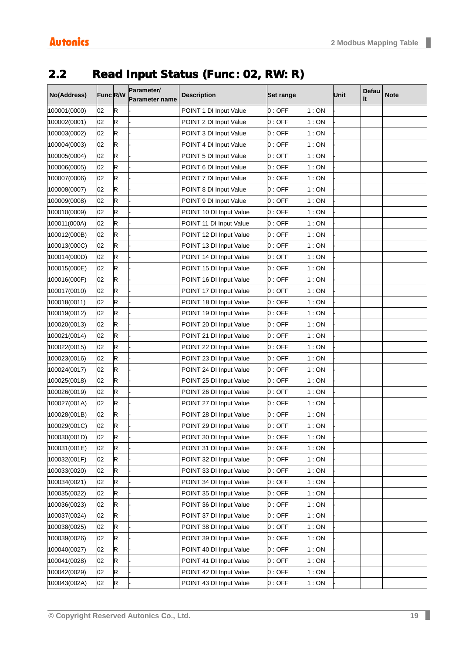# <span id="page-18-0"></span>2.2 Read Input Status (Func: 02, RW: R)

| No(Address)  | Func R/W |             | Parameter/     | <b>Description</b>      | Set range |      | <b>Unit</b> | Defau | <b>Note</b> |
|--------------|----------|-------------|----------------|-------------------------|-----------|------|-------------|-------|-------------|
|              |          |             | Parameter name |                         |           |      |             | It    |             |
| 100001(0000) | 02       | R           |                | POINT 1 DI Input Value  | 0:OFF     | 1:ON |             |       |             |
| 100002(0001) | 02       | $\mathsf R$ |                | POINT 2 DI Input Value  | 0:OFF     | 1:ON |             |       |             |
| 100003(0002) | 02       | R           |                | POINT 3 DI Input Value  | 0:OFF     | 1:ON |             |       |             |
| 100004(0003) | 02       | R           |                | POINT 4 DI Input Value  | 0:OFF     | 1:ON |             |       |             |
| 100005(0004) | 02       | R           |                | POINT 5 DI Input Value  | 0:OFF     | 1:ON |             |       |             |
| 100006(0005) | 02       | R           |                | POINT 6 DI Input Value  | 0:OFF     | 1:ON |             |       |             |
| 100007(0006) | 02       | R           |                | POINT 7 DI Input Value  | 0:OFF     | 1:ON |             |       |             |
| 100008(0007) | 02       | R           |                | POINT 8 DI Input Value  | 0:OFF     | 1:ON |             |       |             |
| 100009(0008) | 02       | R           |                | POINT 9 DI Input Value  | 0:OFF     | 1:ON |             |       |             |
| 100010(0009) | 02       | R           |                | POINT 10 DI Input Value | 0:OFF     | 1:ON |             |       |             |
| 100011(000A) | 02       | R           |                | POINT 11 DI Input Value | 0:OFF     | 1:ON |             |       |             |
| 100012(000B) | 02       | R           |                | POINT 12 DI Input Value | 0:OFF     | 1:ON |             |       |             |
| 100013(000C) | 02       | R           |                | POINT 13 DI Input Value | 0:OFF     | 1:ON |             |       |             |
| 100014(000D) | 02       | $\mathsf R$ |                | POINT 14 DI Input Value | 0:OFF     | 1:ON |             |       |             |
| 100015(000E) | 02       | R           |                | POINT 15 DI Input Value | $0:$ OFF  | 1:ON |             |       |             |
| 100016(000F) | 02       | R           |                | POINT 16 DI Input Value | 0:OFF     | 1:ON |             |       |             |
| 100017(0010) | 02       | R           |                | POINT 17 DI Input Value | 0:OFF     | 1:ON |             |       |             |
| 100018(0011) | 02       | R           |                | POINT 18 DI Input Value | 0:OFF     | 1:ON |             |       |             |
| 100019(0012) | 02       | R           |                | POINT 19 DI Input Value | 0:OFF     | 1:ON |             |       |             |
| 100020(0013) | 02       | $\mathsf R$ |                | POINT 20 DI Input Value | 0:OFF     | 1:ON |             |       |             |
| 100021(0014) | 02       | R           |                | POINT 21 DI Input Value | 0:OFF     | 1:ON |             |       |             |
| 100022(0015) | 02       | R           |                | POINT 22 DI Input Value | 0:OFF     | 1:ON |             |       |             |
| 100023(0016) | 02       | R           |                | POINT 23 DI Input Value | 0:OFF     | 1:ON |             |       |             |
| 100024(0017) | 02       | R           |                | POINT 24 DI Input Value | 0:OFF     | 1:ON |             |       |             |
| 100025(0018) | 02       | R           |                | POINT 25 DI Input Value | 0:OFF     | 1:ON |             |       |             |
| 100026(0019) | 02       | $\mathsf R$ |                | POINT 26 DI Input Value | 0:OFF     | 1:ON |             |       |             |
| 100027(001A) | 02       | R           |                | POINT 27 DI Input Value | 0:OFF     | 1:ON |             |       |             |
| 100028(001B) | 02       | R           |                | POINT 28 DI Input Value | 0:OFF     | 1:ON |             |       |             |
| 100029(001C) | 02       | R           |                | POINT 29 DI Input Value | 0 : OFF   | 1:ON |             |       |             |
| 100030(001D) | 02       | R           |                | POINT 30 DI Input Value | 0:OFF     | 1:ON |             |       |             |
| 100031(001E) | 02       | R           |                | POINT 31 DI Input Value | 0:OFF     | 1:ON |             |       |             |
| 100032(001F) | 02       | R           |                | POINT 32 DI Input Value | 0:OFF     | 1:ON |             |       |             |
| 100033(0020) | 02       | R           |                | POINT 33 DI Input Value | 0:OFF     | 1:ON |             |       |             |
| 100034(0021) | 02       | R           |                | POINT 34 DI Input Value | 0:OFF     | 1:ON |             |       |             |
| 100035(0022) | 02       | R           |                | POINT 35 DI Input Value | 0:OFF     | 1:ON |             |       |             |
| 100036(0023) | 02       | R           |                | POINT 36 DI Input Value | 0:OFF     | 1:ON |             |       |             |
| 100037(0024) | 02       | R           |                | POINT 37 DI Input Value | 0:OFF     | 1:ON |             |       |             |
| 100038(0025) | 02       | R           |                | POINT 38 DI Input Value | 0:OFF     | 1:ON |             |       |             |
| 100039(0026) | 02       | R           |                | POINT 39 DI Input Value | 0:OFF     | 1:ON |             |       |             |
| 100040(0027) | 02       | R           |                | POINT 40 DI Input Value | 0:OFF     | 1:ON |             |       |             |
| 100041(0028) | 02       | R           |                | POINT 41 DI Input Value | 0:OFF     | 1:ON |             |       |             |
| 100042(0029) | 02       | R           |                | POINT 42 DI Input Value | 0:OFF     | 1:ON |             |       |             |
| 100043(002A) | 02       | R           |                | POINT 43 DI Input Value | 0:OFF     | 1:ON |             |       |             |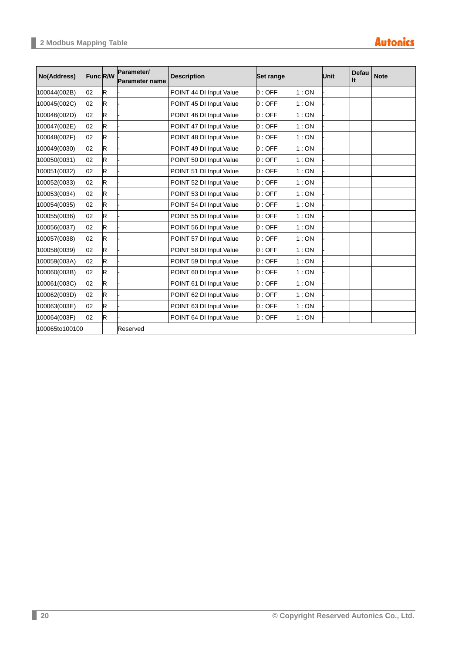| No(Address)    | <b>Func R/W</b> |             | Parameter/<br><b>Parameter name</b> | <b>Description</b>      | Set range |      | <b>Unit</b> | Defau<br>It | <b>Note</b> |
|----------------|-----------------|-------------|-------------------------------------|-------------------------|-----------|------|-------------|-------------|-------------|
| 100044(002B)   | 02              | $\mathsf R$ |                                     | POINT 44 DI Input Value | 0:OFF     | 1:ON |             |             |             |
| 100045(002C)   | 02              | R           |                                     | POINT 45 DI Input Value | 0:OFF     | 1:ON |             |             |             |
| 100046(002D)   | 02              | R           |                                     | POINT 46 DI Input Value | 0:OFF     | 1:ON |             |             |             |
| 100047(002E)   | 02              | R           |                                     | POINT 47 DI Input Value | 0:OFF     | 1:ON |             |             |             |
| 100048(002F)   | 02              | R           |                                     | POINT 48 DI Input Value | 0:OFF     | 1:ON |             |             |             |
| 100049(0030)   | 02              | R           |                                     | POINT 49 DI Input Value | 0:OFF     | 1:ON |             |             |             |
| 100050(0031)   | 02              | R           |                                     | POINT 50 DI Input Value | 0:OFF     | 1:ON |             |             |             |
| 100051(0032)   | 02              | R           |                                     | POINT 51 DI Input Value | 0:OFF     | 1:ON |             |             |             |
| 100052(0033)   | 02              | R           |                                     | POINT 52 DI Input Value | 0:OFF     | 1:ON |             |             |             |
| 100053(0034)   | 02              | $\mathsf R$ |                                     | POINT 53 DI Input Value | 0:OFF     | 1:ON |             |             |             |
| 100054(0035)   | 02              | R           |                                     | POINT 54 DI Input Value | 0:OFF     | 1:ON |             |             |             |
| 100055(0036)   | 02              | R           |                                     | POINT 55 DI Input Value | 0:OFF     | 1:ON |             |             |             |
| 100056(0037)   | 02              | R           |                                     | POINT 56 DI Input Value | 0:OFF     | 1:ON |             |             |             |
| 100057(0038)   | 02              | R           |                                     | POINT 57 DI Input Value | 0:OFF     | 1:ON |             |             |             |
| 100058(0039)   | 02              | R           |                                     | POINT 58 DI Input Value | 0:OFF     | 1:ON |             |             |             |
| 100059(003A)   | 02              | R           |                                     | POINT 59 DI Input Value | 0:OFF     | 1:ON |             |             |             |
| 100060(003B)   | 02              | R           |                                     | POINT 60 DI Input Value | 0:OFF     | 1:ON |             |             |             |
| 100061(003C)   | 02              | R           |                                     | POINT 61 DI Input Value | 0:OFF     | 1:ON |             |             |             |
| 100062(003D)   | 02              | R           |                                     | POINT 62 DI Input Value | 0:OFF     | 1:ON |             |             |             |
| 100063(003E)   | 02              | R           |                                     | POINT 63 DI Input Value | 0:OFF     | 1:ON |             |             |             |
| 100064(003F)   | 02              | $\mathsf R$ |                                     | POINT 64 DI Input Value | 0:OFF     | 1:ON |             |             |             |
| 100065to100100 |                 |             | Reserved                            |                         |           |      |             |             |             |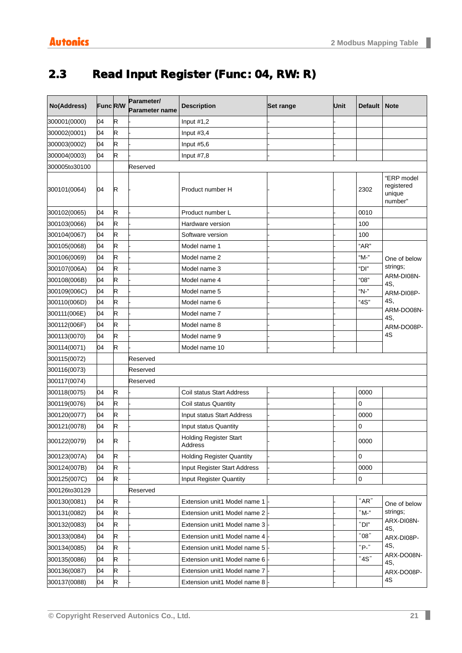# <span id="page-20-0"></span>2.3 Read Input Register (Func: 04, RW: R)

| No(Address)   |    | Func R/W | Parameter/     | <b>Description</b>                       | <b>Set range</b> | Unit | <b>Default</b> | <b>Note</b>                                   |
|---------------|----|----------|----------------|------------------------------------------|------------------|------|----------------|-----------------------------------------------|
|               |    |          | Parameter name |                                          |                  |      |                |                                               |
| 300001(0000)  | 04 | R        |                | Input #1,2                               |                  |      |                |                                               |
| 300002(0001)  | 04 | R        |                | Input $#3,4$                             |                  |      |                |                                               |
| 300003(0002)  | 04 | R        |                | Input $#5,6$                             |                  |      |                |                                               |
| 300004(0003)  | 04 | R        |                | Input $#7,8$                             |                  |      |                |                                               |
| 300005to30100 |    |          | Reserved       |                                          |                  |      |                |                                               |
| 300101(0064)  | 04 | R        |                | Product number H                         |                  |      | 2302           | "ERP model<br>registered<br>unique<br>number" |
| 300102(0065)  | 04 | R        |                | Product number L                         |                  |      | 0010           |                                               |
| 300103(0066)  | 04 | R        |                | Hardware version                         |                  |      | 100            |                                               |
| 300104(0067)  | 04 | R        |                | Software version                         |                  |      | 100            |                                               |
| 300105(0068)  | 04 | R        |                | Model name 1                             |                  |      | "AR"           |                                               |
| 300106(0069)  | 04 | R        |                | Model name 2                             |                  |      | "M-"           | One of below                                  |
| 300107(006A)  | 04 | R        |                | Model name 3                             |                  |      | "Dl"           | strings;                                      |
| 300108(006B)  | 04 | R        |                | Model name 4                             |                  |      | "08"           | ARM-DI08N-<br>4S.                             |
| 300109(006C)  | 04 | R        |                | Model name 5                             |                  |      | "N-"           | ARM-DI08P-                                    |
| 300110(006D)  | 04 | R        |                | Model name 6                             |                  |      | "4S"           | 4S,                                           |
| 300111(006E)  | 04 | R        |                | Model name 7                             |                  |      |                | ARM-DO08N-<br>4S,                             |
| 300112(006F)  | 04 | R        |                | Model name 8                             |                  |      |                | ARM-DO08P-                                    |
| 300113(0070)  | 04 | R        |                | Model name 9                             |                  |      |                | 4S                                            |
| 300114(0071)  | 04 | R        |                | Model name 10                            |                  |      |                |                                               |
| 300115(0072)  |    |          | Reserved       |                                          |                  |      |                |                                               |
| 300116(0073)  |    |          | Reserved       |                                          |                  |      |                |                                               |
| 300117(0074)  |    |          | Reserved       |                                          |                  |      |                |                                               |
| 300118(0075)  | 04 | R        |                | Coil status Start Address                |                  |      | 0000           |                                               |
| 300119(0076)  | 04 | R        |                | Coil status Quantity                     |                  |      | 0              |                                               |
| 300120(0077)  | 04 | R        |                | Input status Start Address               |                  |      | 0000           |                                               |
| 300121(0078)  | 04 | R        |                | Input status Quantity                    |                  |      | 0              |                                               |
| 300122(0079)  | 04 | R        |                | <b>Holding Register Start</b><br>Address |                  |      | 0000           |                                               |
| 300123(007A)  | 04 | R        |                | <b>Holding Register Quantity</b>         |                  |      | 0              |                                               |
| 300124(007B)  | 04 | R        |                | Input Register Start Address             |                  |      | 0000           |                                               |
| 300125(007C)  | 04 | R        |                | Input Register Quantity                  |                  |      | 0              |                                               |
| 300126to30129 |    |          | Reserved       |                                          |                  |      |                |                                               |
| 300130(0081)  | 04 | R        |                | Extension unit1 Model name 1             |                  |      | "AR"           | One of below                                  |
| 300131(0082)  | 04 | R        |                | Extension unit1 Model name 2             |                  |      | "M-"           | strings;                                      |
| 300132(0083)  | 04 | R        |                | Extension unit1 Model name 3             |                  |      | $\lq$ DI"      | ARX-DI08N-                                    |
| 300133(0084)  | 04 | R        |                | Extension unit1 Model name 4             |                  |      | "08"           | 4S,<br>ARX-DI08P-                             |
| 300134(0085)  | 04 | R        |                | Extension unit1 Model name 5             |                  |      | "P."           | 4S,                                           |
| 300135(0086)  | 04 | R        |                | Extension unit1 Model name 6             |                  |      | "4S"           | ARX-DO08N-                                    |
| 300136(0087)  | 04 | R        |                | Extension unit1 Model name 7             |                  |      |                | 4S,<br>ARX-DO08P-                             |
| 300137(0088)  | 04 | R        |                | Extension unit1 Model name 8             |                  |      |                | 4S                                            |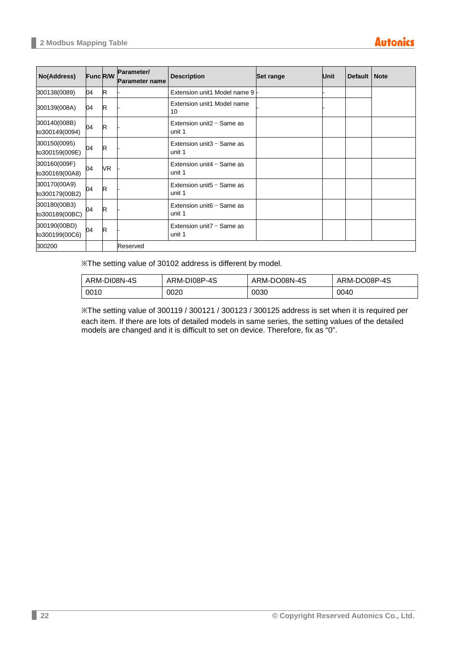| No(Address)                    | <b>Func R/W</b> |    | Parameter/<br><b>Parameter name</b> | <b>Description</b>                     | <b>Set range</b> | <b>Unit</b> | Default   Note |  |
|--------------------------------|-----------------|----|-------------------------------------|----------------------------------------|------------------|-------------|----------------|--|
| 300138(0089)                   | 04              | R. |                                     | Extension unit1 Model name 9           |                  |             |                |  |
| 300139(008A)                   | 04              | R  |                                     | Extension unit1 Model name<br>10       |                  |             |                |  |
| 300140(008B)<br>to300149(0094) | 04              | R  |                                     | Extension unit $2 -$ Same as<br>unit 1 |                  |             |                |  |
| 300150(0095)<br>to300159(009E) | 04              | R  |                                     | Extension unit $3 -$ Same as<br>unit 1 |                  |             |                |  |
| 300160(009F)<br>to300169(00A8) | 04              | VR |                                     | Extension unit $4 -$ Same as<br>unit 1 |                  |             |                |  |
| 300170(00A9)<br>to300179(00B2) | 04              | R  |                                     | Extension unit $5 -$ Same as<br>unit 1 |                  |             |                |  |
| 300180(00B3)<br>to300189(00BC) | 04              | R  |                                     | Extension unit $6 -$ Same as<br>unit 1 |                  |             |                |  |
| 300190(00BD)<br>to300199(00C6) | 04              | R  |                                     | Extension unit $7 -$ Same as<br>unit 1 |                  |             |                |  |
| 300200                         |                 |    | Reserved                            |                                        |                  |             |                |  |

※The setting value of 30102 address is different by model.

| ARM-DI08N-4S | ARM-DI08P-4S | ARM-DO08N-4S | ARM-DO08P-4S |
|--------------|--------------|--------------|--------------|
| 0010         | 0020         | 0030         | 0040         |

※The setting value of 300119 / 300121 / 300123 / 300125 address is set when it is required per each item. If there are lots of detailed models in same series, the setting values of the detailed models are changed and it is difficult to set on device. Therefore, fix as "0".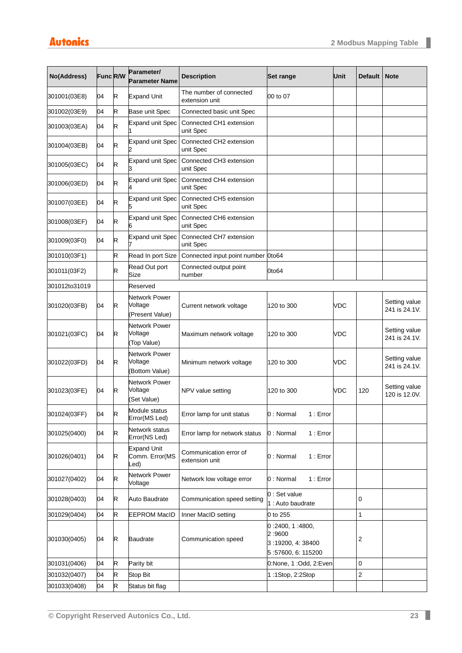| No(Address)   | <b>Func R/W</b> |    | Parameter/<br><b>Parameter Name</b>          | <b>Description</b>                        | Set range                                                           | Unit       | <b>Default</b>          | <b>Note</b>                    |
|---------------|-----------------|----|----------------------------------------------|-------------------------------------------|---------------------------------------------------------------------|------------|-------------------------|--------------------------------|
| 301001(03E8)  | 04              | R  | <b>Expand Unit</b>                           | The number of connected<br>extension unit | 00 to 07                                                            |            |                         |                                |
| 301002(03E9)  | 04              | R  | Base unit Spec                               | Connected basic unit Spec                 |                                                                     |            |                         |                                |
| 301003(03EA)  | 04              | R. | <b>Expand unit Spec</b>                      | Connected CH1 extension<br>unit Spec      |                                                                     |            |                         |                                |
| 301004(03EB)  | 04              | R  | <b>Expand unit Spec</b>                      | Connected CH2 extension<br>unit Spec      |                                                                     |            |                         |                                |
| 301005(03EC)  | 04              | R  | <b>Expand unit Spec</b>                      | Connected CH3 extension<br>unit Spec      |                                                                     |            |                         |                                |
| 301006(03ED)  | 04              | R  | <b>Expand unit Spec</b>                      | Connected CH4 extension<br>unit Spec      |                                                                     |            |                         |                                |
| 301007(03EE)  | 04              | R  | <b>Expand unit Spec</b>                      | Connected CH5 extension<br>unit Spec      |                                                                     |            |                         |                                |
| 301008(03EF)  | 04              | R  | <b>Expand unit Spec</b>                      | Connected CH6 extension<br>unit Spec      |                                                                     |            |                         |                                |
| 301009(03F0)  | 04              | R. | <b>Expand unit Spec</b>                      | Connected CH7 extension<br>unit Spec      |                                                                     |            |                         |                                |
| 301010(03F1)  |                 | R  | Read In port Size                            | Connected input point number 0to64        |                                                                     |            |                         |                                |
| 301011(03F2)  |                 | R. | Read Out port<br>Size                        | Connected output point<br>number          | 0to64                                                               |            |                         |                                |
| 301012to31019 |                 |    | Reserved                                     |                                           |                                                                     |            |                         |                                |
| 301020(03FB)  | 04              | R  | Network Power<br>Voltage<br>(Present Value)  | Current network voltage                   | 120 to 300                                                          | <b>VDC</b> |                         | Setting value<br>241 is 24.1V. |
| 301021(03FC)  | 04              | R  | Network Power<br>Voltage<br>(Top Value)      | Maximum network voltage                   | 120 to 300                                                          | <b>VDC</b> |                         | Setting value<br>241 is 24.1V. |
| 301022(03FD)  | 04              | R  | Network Power<br>Voltage<br>(Bottom Value)   | Minimum network voltage                   | 120 to 300                                                          | <b>VDC</b> |                         | Setting value<br>241 is 24.1V. |
| 301023(03FE)  | 04              | R  | Network Power<br>Voltage<br>(Set Value)      | NPV value setting                         | 120 to 300                                                          | VDC        | 120                     | Setting value<br>120 is 12.0V. |
| 301024(03FF)  | 04              | R  | Module status<br>Error(MS Led)               | Error lamp for unit status                | 0: Normal 1: Error                                                  |            |                         |                                |
| 301025(0400)  | 04              | R  | Network status<br>Error(NS Led)              | Error lamp for network status             | 0 : Normal<br>1 : Error                                             |            |                         |                                |
| 301026(0401)  | 04              | R  | <b>Expand Unit</b><br>Comm. Error(MS<br>_ed) | Communication error of<br>extension unit  | 0 : Normal<br>1 : Error                                             |            |                         |                                |
| 301027(0402)  | 04              | R  | Network Power<br>Voltage                     | Network low voltage error                 | 0 : Normal<br>1 : Error                                             |            |                         |                                |
| 301028(0403)  | 04              | R  | Auto Baudrate                                | Communication speed setting               | 0 : Set value<br>1 : Auto baudrate                                  |            | 0                       |                                |
| 301029(0404)  | 04              | R  | <b>EEPROM MacID</b>                          | Inner MacID setting                       | 0 to 255                                                            |            | $\mathbf{1}$            |                                |
| 301030(0405)  | 04              | R  | Baudrate                                     | Communication speed                       | 0:2400, 1:4800,<br>2:9600<br>3:19200, 4:38400<br>5:57600, 6: 115200 |            | $\overline{\mathbf{c}}$ |                                |
| 301031(0406)  | 04              | R  | Parity bit                                   |                                           | 0:None, 1 :Odd, 2:Even                                              |            | 0                       |                                |
| 301032(0407)  | 04              | R  | Stop Bit                                     |                                           | 1:1Stop, 2:2Stop                                                    |            | $\overline{\mathbf{c}}$ |                                |
| 301033(0408)  | 04              | R  | Status bit flag                              |                                           |                                                                     |            |                         |                                |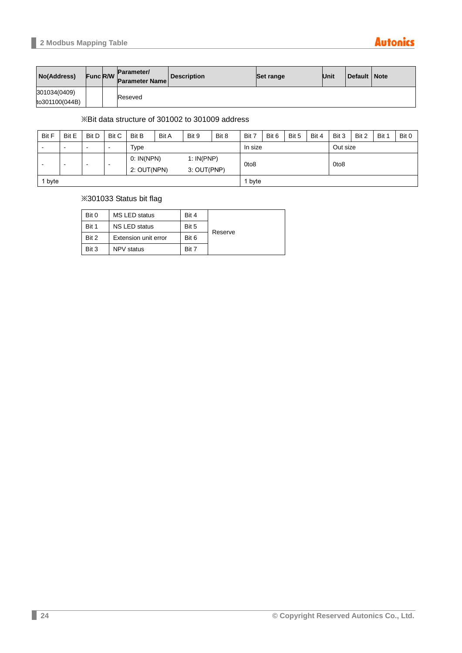### **Autonics**

| No(Address)                    | <b>Func R/W</b> | Parameter/<br><b>Parameter Name</b> | <b>Description</b> | Set range | Unit | Default   Note |  |
|--------------------------------|-----------------|-------------------------------------|--------------------|-----------|------|----------------|--|
| 301034(0409)<br>to301100(044B) |                 | Reseved                             |                    |           |      |                |  |

#### ※Bit data structure of 301002 to 301009 address

| <b>Bit F</b> | Bit E                                 | <b>Bit D</b>             | <b>Bit C</b> | Bit B       | <b>Bit A</b> | Bit 9       | Bit 8   | Bit 7            | Bit 6 | Bit 5    | Bit 4            | Bit 3 | Bit 2 | Bit 1 | Bit 0 |
|--------------|---------------------------------------|--------------------------|--------------|-------------|--------------|-------------|---------|------------------|-------|----------|------------------|-------|-------|-------|-------|
| -            | -                                     | $\overline{\phantom{0}}$ | -            | Type        |              |             | In size |                  |       | Out size |                  |       |       |       |       |
|              |                                       |                          |              | 0: IN(NPN)  |              | 1: IN(PNP)  |         |                  |       |          |                  |       |       |       |       |
|              | $\,$<br>-<br>$\overline{\phantom{a}}$ |                          | -            | 2: OUT(NPN) |              | 3: OUT(PNP) |         | 0to <sub>8</sub> |       |          | 0to <sub>8</sub> |       |       |       |       |
| byte         |                                       |                          |              |             |              |             |         | byte             |       |          |                  |       |       |       |       |

#### ※301033 Status bit flag

| Bit 0 | <b>MS LED status</b> | Bit 4 |         |
|-------|----------------------|-------|---------|
| Bit 1 | <b>NS LED status</b> | Bit 5 |         |
| Bit 2 | Extension unit error | Bit 6 | Reserve |
| Bit 3 | <b>NPV</b> status    | Bit 7 |         |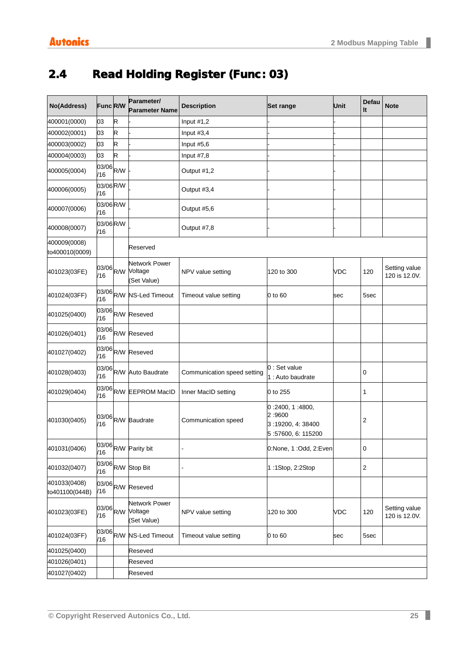# <span id="page-24-0"></span>2.4 Read Holding Register (Func: 03)

| No(Address)                    | Func R/W         |   | Parameter/<br><b>Parameter Name</b>           | <b>Description</b>          | <b>Set range</b>                                                    | Unit       | Defau<br>It    | <b>Note</b>                    |  |  |  |
|--------------------------------|------------------|---|-----------------------------------------------|-----------------------------|---------------------------------------------------------------------|------------|----------------|--------------------------------|--|--|--|
| 400001(0000)                   | 03               | R |                                               | Input $#1,2$                |                                                                     |            |                |                                |  |  |  |
| 400002(0001)                   | 03               | R |                                               | Input #3,4                  |                                                                     |            |                |                                |  |  |  |
| 400003(0002)                   | 03               | R |                                               | Input #5,6                  |                                                                     |            |                |                                |  |  |  |
| 400004(0003)                   | 03               | R |                                               | Input #7,8                  |                                                                     |            |                |                                |  |  |  |
| 400005(0004)                   | 03/06 R/W<br>/16 |   |                                               | Output #1,2                 |                                                                     |            |                |                                |  |  |  |
| 400006(0005)                   | 03/06 R/W<br>/16 |   |                                               | Output #3,4                 |                                                                     |            |                |                                |  |  |  |
| 400007(0006)                   | 03/06 R/W<br>/16 |   |                                               | Output #5,6                 |                                                                     |            |                |                                |  |  |  |
| 400008(0007)                   | 03/06 R/W<br>/16 |   |                                               | Output #7,8                 |                                                                     |            |                |                                |  |  |  |
| 400009(0008)<br>to400010(0009) |                  |   | Reserved                                      |                             |                                                                     |            |                |                                |  |  |  |
| 401023(03FE)                   | 03/06 R/W<br>/16 |   | Network Power<br>Voltage<br>(Set Value)       | NPV value setting           | 120 to 300                                                          | <b>VDC</b> | 120            | Setting value<br>120 is 12.0V. |  |  |  |
| 401024(03FF)                   | /16              |   | 03/06 R/W NS-Led Timeout                      | Timeout value setting       | 0 to 60                                                             | sec        | 5sec           |                                |  |  |  |
| 401025(0400)                   |                  |   | 03/06 R/W Reseved                             |                             |                                                                     |            |                |                                |  |  |  |
| 401026(0401)                   |                  |   | 03/06 R/W Reseved                             |                             |                                                                     |            |                |                                |  |  |  |
| 401027(0402)                   | /16              |   | 03/06 R/W Reseved                             |                             |                                                                     |            |                |                                |  |  |  |
| 401028(0403)                   |                  |   | 03/06 R/W Auto Baudrate                       | Communication speed setting | 0 : Set value<br>1 : Auto baudrate                                  |            | 0              |                                |  |  |  |
| 401029(0404)                   |                  |   | 03/06 R/W EEPROM MacID                        | Inner MacID setting         | 0 to 255                                                            |            | 1              |                                |  |  |  |
| 401030(0405)                   |                  |   | 03/06 R/W Baudrate                            | Communication speed         | 0:2400, 1:4800,<br>2:9600<br>3:19200, 4:38400<br>5:57600, 6: 115200 |            | $\overline{c}$ |                                |  |  |  |
| 401031(0406)                   |                  |   | 03/06 R/W Parity bit                          |                             | 0:None, 1 :Odd, 2:Even                                              |            | $\pmb{0}$      |                                |  |  |  |
| 401032(0407)                   |                  |   | 03/06 R/W Stop Bit                            |                             | 1:1Stop, 2:2Stop                                                    |            | $\sqrt{2}$     |                                |  |  |  |
| 401033(0408)<br>to401100(044B) | /16              |   | 03/06 R/W Reseved                             |                             |                                                                     |            |                |                                |  |  |  |
| 401023(03FE)                   | 03/06 R/W<br>/16 |   | <b>Network Power</b><br>Voltage<br>Set Value) | NPV value setting           | 120 to 300                                                          | <b>VDC</b> | 120            | Setting value<br>120 is 12.0V. |  |  |  |
| 401024(03FF)                   |                  |   | 03/06 R/W NS-Led Timeout                      | Timeout value setting       | 0 to 60                                                             | sec        | 5sec           |                                |  |  |  |
| 401025(0400)                   |                  |   | Reseved                                       |                             |                                                                     |            |                |                                |  |  |  |
| 401026(0401)                   |                  |   | Reseved                                       |                             |                                                                     |            |                |                                |  |  |  |
| 401027(0402)                   |                  |   | Reseved                                       |                             |                                                                     |            |                |                                |  |  |  |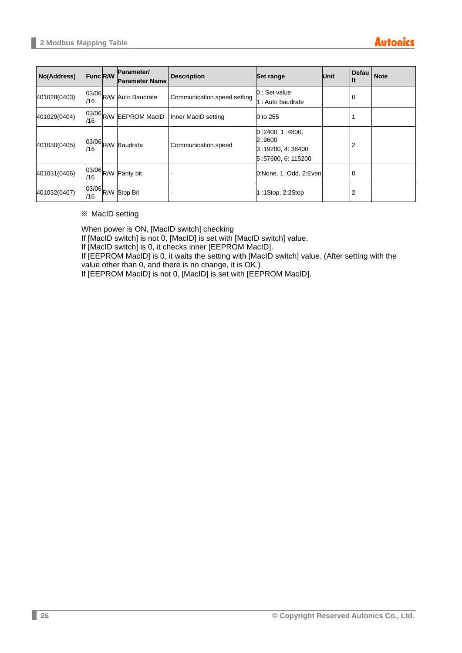| No(Address)  | <b>Func R/W</b> | Parameter/<br><b>Parameter Name</b> | <b>Description</b>          | Set range                                                          | Unit | Defau<br>It | <b>Note</b> |
|--------------|-----------------|-------------------------------------|-----------------------------|--------------------------------------------------------------------|------|-------------|-------------|
| 401028(0403) | /16             | 03/06 R/W Auto Baudrate             | Communication speed setting | 0 : Set value<br>1 : Auto baudrate                                 |      | 0           |             |
| 401029(0404) | /16             | 03/06 R/W EEPROM MacID              | Inner MacID setting         | 0 to 255                                                           |      |             |             |
| 401030(0405) | /16             | 03/06 R/W Baudrate                  | Communication speed         | 0:2400, 1:4800,<br>2:9600<br>3:19200, 4:38400<br>5:57600, 6:115200 |      | 2           |             |
| 401031(0406) |                 | 03/06 R/W Parity bit                |                             | 0:None, 1:Odd, 2:Even                                              |      | 0           |             |
| 401032(0407) | /16             | 03/06 R/W Stop Bit                  |                             | $1:1$ Stop, 2:2Stop                                                |      | 2           |             |

※ MacID setting

When power is ON, [MacID switch] checking

If [MacID switch] is not 0, [MacID] is set with [MacID switch] value.

If [MacID switch] is 0, it checks inner [EEPROM MacID].

If [EEPROM MacID] is 0, it waits the setting with [MacID switch] value. (After setting with the value other than 0, and there is no change, it is OK.)

If [EEPROM MacID] is not 0, [MacID] is set with [EEPROM MacID].